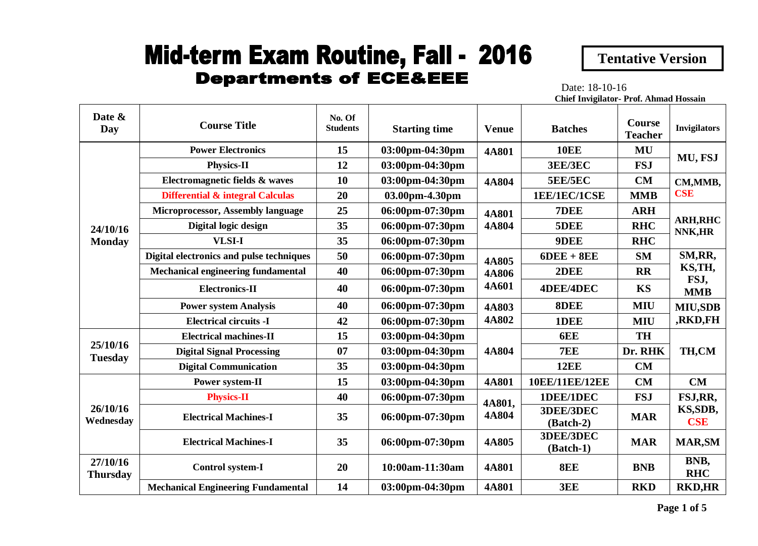## **Mid-term Exam Routine, Fall - 2016 Departments of ECE&EEE**

 **Tentative Version**

Date: 18-10-16 **Chief Invigilator- Prof. Ahmad Hossain**

| Date &<br>Day               | <b>Course Title</b>                         | No. Of<br><b>Students</b> | <b>Starting time</b> | <b>Venue</b>                          | <b>Batches</b>           | <b>Course</b><br><b>Teacher</b> | <b>Invigilators</b>                      |
|-----------------------------|---------------------------------------------|---------------------------|----------------------|---------------------------------------|--------------------------|---------------------------------|------------------------------------------|
|                             | <b>Power Electronics</b>                    | 15                        | 03:00pm-04:30pm      | 4A801                                 | <b>10EE</b>              | MU                              | MU, FSJ                                  |
|                             | <b>Physics-II</b>                           | 12                        | 03:00pm-04:30pm      |                                       | 3EE/3EC                  | <b>FSJ</b>                      |                                          |
|                             | Electromagnetic fields & waves              | 10                        | 03:00pm-04:30pm      | <b>4A804</b>                          | <b>5EE/5EC</b>           | <b>CM</b>                       | CM, MMB,                                 |
|                             | <b>Differential &amp; integral Calculas</b> | 20                        | 03.00pm-4.30pm       |                                       | 1EE/1EC/1CSE             | <b>MMB</b>                      | <b>CSE</b>                               |
|                             | <b>Microprocessor, Assembly language</b>    | 25                        | 06:00pm-07:30pm      | <b>4A801</b>                          | 7DEE                     | <b>ARH</b>                      |                                          |
| 24/10/16                    | Digital logic design                        | 35                        | 06:00pm-07:30pm      | <b>4A804</b>                          | 5DEE                     | <b>RHC</b>                      | <b>ARH, RHC</b><br>NNK,HR                |
| <b>Monday</b>               | <b>VLSI-I</b>                               | 35                        | 06:00pm-07:30pm      |                                       | 9DEE                     | <b>RHC</b>                      |                                          |
|                             | Digital electronics and pulse techniques    | 50                        | 06:00pm-07:30pm      | <b>4A805</b><br><b>4A806</b><br>4A601 | $6$ DEE + $8$ EE         | <b>SM</b>                       | SM, RR,<br>KS, TH,<br>FSJ,<br><b>MMB</b> |
|                             | <b>Mechanical engineering fundamental</b>   | 40                        | 06:00pm-07:30pm      |                                       | 2DEE                     | <b>RR</b>                       |                                          |
|                             | <b>Electronics-II</b>                       | 40                        | 06:00pm-07:30pm      |                                       | <b>4DEE/4DEC</b>         | <b>KS</b>                       |                                          |
|                             | <b>Power system Analysis</b>                | 40                        | 06:00pm-07:30pm      | <b>4A803</b>                          | 8DEE                     | <b>MIU</b>                      | <b>MIU,SDB</b><br>,RKD,FH                |
|                             | <b>Electrical circuits -I</b>               | 42                        | 06:00pm-07:30pm      | 4A802                                 | 1DEE                     | <b>MIU</b>                      |                                          |
|                             | <b>Electrical machines-II</b>               | 15                        | 03:00pm-04:30pm      |                                       | 6EE                      | <b>TH</b>                       |                                          |
| 25/10/16<br><b>Tuesday</b>  | <b>Digital Signal Processing</b>            | 07                        | 03:00pm-04:30pm      | <b>4A804</b>                          | 7EE                      | Dr. RHK                         | TH,CM                                    |
|                             | <b>Digital Communication</b>                | 35                        | 03:00pm-04:30pm      |                                       | <b>12EE</b>              | CM                              |                                          |
|                             | Power system-II                             | 15                        | 03:00pm-04:30pm      | 4A801                                 | <b>10EE/11EE/12EE</b>    | <b>CM</b>                       | CM                                       |
| 26/10/16<br>Wednesday       | <b>Physics-II</b>                           | 40                        | 06:00pm-07:30pm      | 4A801,<br>4A804                       | 1DEE/1DEC                | <b>FSJ</b>                      | FSJ,RR,                                  |
|                             | <b>Electrical Machines-I</b>                | 35                        | 06:00pm-07:30pm      |                                       | 3DEE/3DEC<br>$(Batch-2)$ | <b>MAR</b>                      | KS, SDB,<br><b>CSE</b>                   |
|                             | <b>Electrical Machines-I</b>                | 35                        | 06:00pm-07:30pm      | 4A805                                 | 3DEE/3DEC<br>(Batch-1)   | <b>MAR</b>                      | <b>MAR, SM</b>                           |
| 27/10/16<br><b>Thursday</b> | <b>Control system-I</b>                     | 20                        | 10:00am-11:30am      | 4A801                                 | 8EE                      | <b>BNB</b>                      | BNB,<br><b>RHC</b>                       |
|                             | <b>Mechanical Engineering Fundamental</b>   | 14                        | 03:00pm-04:30pm      | <b>4A801</b>                          | 3EE                      | <b>RKD</b>                      | <b>RKD,HR</b>                            |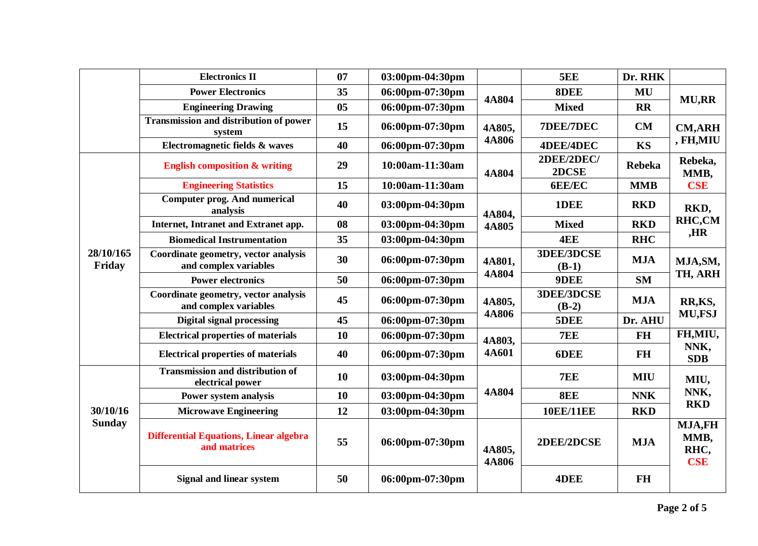|                           | <b>Electronics II</b>                                         | 07             | 03:00pm-04:30pm |                        | <b>5EE</b>                   | Dr. RHK       |                                                                           |
|---------------------------|---------------------------------------------------------------|----------------|-----------------|------------------------|------------------------------|---------------|---------------------------------------------------------------------------|
|                           | <b>Power Electronics</b>                                      | 35             | 06:00pm-07:30pm | 4A804                  | 8DEE                         | MU            |                                                                           |
|                           | <b>Engineering Drawing</b>                                    | 0 <sub>5</sub> | 06:00pm-07:30pm |                        | <b>Mixed</b>                 | <b>RR</b>     | <b>MU,RR</b>                                                              |
|                           | <b>Transmission and distribution of power</b><br>system       | 15             | 06:00pm-07:30pm | 4A805,                 | 7DEE/7DEC                    | CM            | <b>CM,ARH</b>                                                             |
|                           | Electromagnetic fields & waves                                | 40             | 06:00pm-07:30pm | <b>4A806</b>           | <b>4DEE/4DEC</b>             | <b>KS</b>     | , FH,MIU                                                                  |
|                           | <b>English composition &amp; writing</b>                      | 29             | 10:00am-11:30am | 4A804                  | 2DEE/2DEC/<br>2DCSE          | <b>Rebeka</b> | Rebeka,<br>MMB,                                                           |
|                           | <b>Engineering Statistics</b>                                 | 15             | 10:00am-11:30am |                        | <b>6EE/EC</b>                | <b>MMB</b>    | <b>CSE</b>                                                                |
|                           | <b>Computer prog. And numerical</b><br>analysis               | 40             | 03:00pm-04:30pm | 4A804,                 | 1DEE                         | <b>RKD</b>    | RKD,                                                                      |
|                           | Internet, Intranet and Extranet app.                          | 08             | 03:00pm-04:30pm | 4A805                  | <b>Mixed</b>                 | <b>RKD</b>    | RHC,CM                                                                    |
|                           | <b>Biomedical Instrumentation</b>                             | 35             | 03:00pm-04:30pm |                        | 4EE                          | <b>RHC</b>    | ,HR                                                                       |
| 28/10/165<br>Friday       | Coordinate geometry, vector analysis<br>and complex variables | 30             | 06:00pm-07:30pm | 4A801,<br>4A804        | <b>3DEE/3DCSE</b><br>$(B-1)$ | <b>MJA</b>    | MJA, SM,<br>TH, ARH                                                       |
|                           | <b>Power electronics</b>                                      | 50             | 06:00pm-07:30pm |                        | 9DEE                         | <b>SM</b>     |                                                                           |
|                           | Coordinate geometry, vector analysis<br>and complex variables | 45             | 06:00pm-07:30pm | 4A805,<br><b>4A806</b> | 3DEE/3DCSE<br>$(B-2)$        | <b>MJA</b>    | RR,KS,<br>MU,FSJ<br>FH,MIU,<br>NNK,<br><b>SDB</b>                         |
|                           | <b>Digital signal processing</b>                              | 45             | 06:00pm-07:30pm |                        | 5DEE                         | Dr. AHU       |                                                                           |
|                           | <b>Electrical properties of materials</b>                     | 10             | 06:00pm-07:30pm | 4A803,<br>4A601        | <b>7EE</b>                   | <b>FH</b>     |                                                                           |
|                           | <b>Electrical properties of materials</b>                     | 40             | 06:00pm-07:30pm |                        | 6DEE                         | <b>FH</b>     |                                                                           |
| 30/10/16<br><b>Sunday</b> | <b>Transmission and distribution of</b><br>electrical power   | 10             | 03:00pm-04:30pm |                        | 7EE                          | <b>MIU</b>    | MIU,<br>NNK,<br><b>RKD</b><br><b>MJA,FH</b><br>MMB,<br>RHC,<br><b>CSE</b> |
|                           | Power system analysis                                         | 10             | 03:00pm-04:30pm | 4A804                  | 8EE                          | <b>NNK</b>    |                                                                           |
|                           | <b>Microwave Engineering</b>                                  | 12             | 03:00pm-04:30pm |                        | <b>10EE/11EE</b>             | <b>RKD</b>    |                                                                           |
|                           | <b>Differential Equations, Linear algebra</b><br>and matrices | 55             | 06:00pm-07:30pm | 4A805,<br><b>4A806</b> | 2DEE/2DCSE                   | <b>MJA</b>    |                                                                           |
|                           | <b>Signal and linear system</b>                               | 50             | 06:00pm-07:30pm |                        | 4DEE                         | <b>FH</b>     |                                                                           |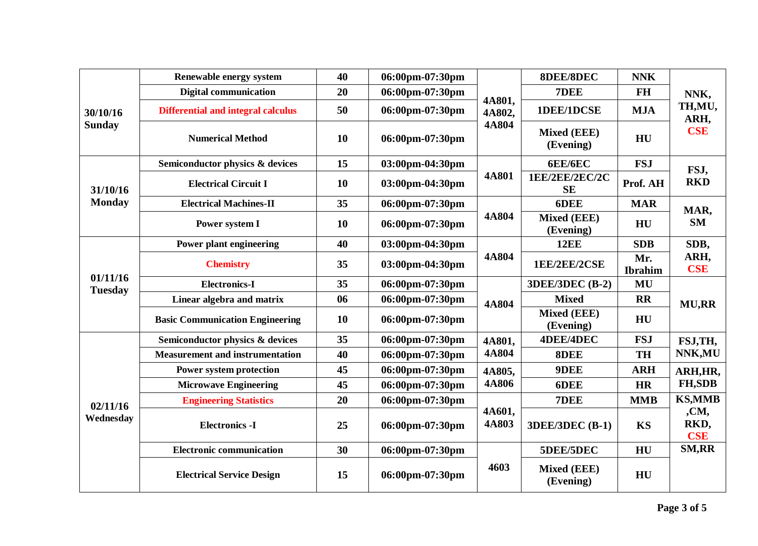|                            | Renewable energy system                   | 40        | 06:00pm-07:30pm |                           | <b>8DEE/8DEC</b>                | <b>NNK</b>            |                                      |
|----------------------------|-------------------------------------------|-----------|-----------------|---------------------------|---------------------------------|-----------------------|--------------------------------------|
| 30/10/16<br><b>Sunday</b>  | <b>Digital communication</b>              | 20        | 06:00pm-07:30pm | 4A801,<br>4A802,<br>4A804 | 7DEE                            | <b>FH</b>             | NNK,<br>TH,MU,<br>ARH,<br><b>CSE</b> |
|                            | <b>Differential and integral calculus</b> | 50        | 06:00pm-07:30pm |                           | 1DEE/1DCSE                      | <b>MJA</b>            |                                      |
|                            | <b>Numerical Method</b>                   | 10        | 06:00pm-07:30pm |                           | <b>Mixed (EEE)</b><br>(Evening) | HU                    |                                      |
|                            | Semiconductor physics & devices           | 15        | 03:00pm-04:30pm |                           | <b>6EE/6EC</b>                  | <b>FSJ</b>            | FSJ,<br><b>RKD</b>                   |
| 31/10/16                   | <b>Electrical Circuit I</b>               | <b>10</b> | 03:00pm-04:30pm | 4A801                     | 1EE/2EE/2EC/2C<br><b>SE</b>     | Prof. AH              |                                      |
| <b>Monday</b>              | <b>Electrical Machines-II</b>             | 35        | 06:00pm-07:30pm |                           | 6DEE                            | <b>MAR</b>            | MAR,<br><b>SM</b>                    |
|                            | Power system I                            | 10        | 06:00pm-07:30pm | 4A804                     | <b>Mixed (EEE)</b><br>(Evening) | HU                    |                                      |
|                            | Power plant engineering                   | 40        | 03:00pm-04:30pm | 4A804                     | <b>12EE</b>                     | <b>SDB</b>            | SDB,<br>ARH,<br><b>CSE</b>           |
|                            | <b>Chemistry</b>                          | 35        | 03:00pm-04:30pm |                           | 1EE/2EE/2CSE                    | Mr.<br><b>Ibrahim</b> |                                      |
| 01/11/16<br><b>Tuesday</b> | <b>Electronics-I</b>                      | 35        | 06:00pm-07:30pm | <b>4A804</b>              | <b>3DEE/3DEC (B-2)</b>          | MU                    | <b>MU,RR</b>                         |
|                            | Linear algebra and matrix                 | 06        | 06:00pm-07:30pm |                           | <b>Mixed</b>                    | <b>RR</b>             |                                      |
|                            | <b>Basic Communication Engineering</b>    | <b>10</b> | 06:00pm-07:30pm |                           | <b>Mixed (EEE)</b><br>(Evening) | HU                    |                                      |
|                            | Semiconductor physics & devices           | 35        | 06:00pm-07:30pm | 4A801,                    | <b>4DEE/4DEC</b>                | <b>FSJ</b>            | FSJ,TH,                              |
|                            | <b>Measurement and instrumentation</b>    | 40        | 06:00pm-07:30pm | 4A804                     | 8DEE                            | <b>TH</b>             | NNK, MU                              |
|                            | <b>Power system protection</b>            | 45        | 06:00pm-07:30pm | 4A805,                    | 9DEE                            | <b>ARH</b>            | ARH, HR,<br><b>FH,SDB</b>            |
| 02/11/16<br>Wednesday      | <b>Microwave Engineering</b>              | 45        | 06:00pm-07:30pm | <b>4A806</b>              | 6DEE                            | <b>HR</b>             |                                      |
|                            | <b>Engineering Statistics</b>             | 20        | 06:00pm-07:30pm |                           | 7DEE                            | <b>MMB</b>            | <b>KS,MMB</b>                        |
|                            | <b>Electronics -I</b>                     | 25        | 06:00pm-07:30pm | 4A601,<br>4A803           | <b>3DEE/3DEC (B-1)</b>          | <b>KS</b>             | ,CM,<br>RKD,<br><b>CSE</b>           |
|                            | <b>Electronic communication</b>           | 30        | 06:00pm-07:30pm |                           | 5DEE/5DEC                       | HU                    | <b>SM,RR</b>                         |
|                            | <b>Electrical Service Design</b>          | 15        | 06:00pm-07:30pm | 4603                      | <b>Mixed (EEE)</b><br>(Evening) | HU                    |                                      |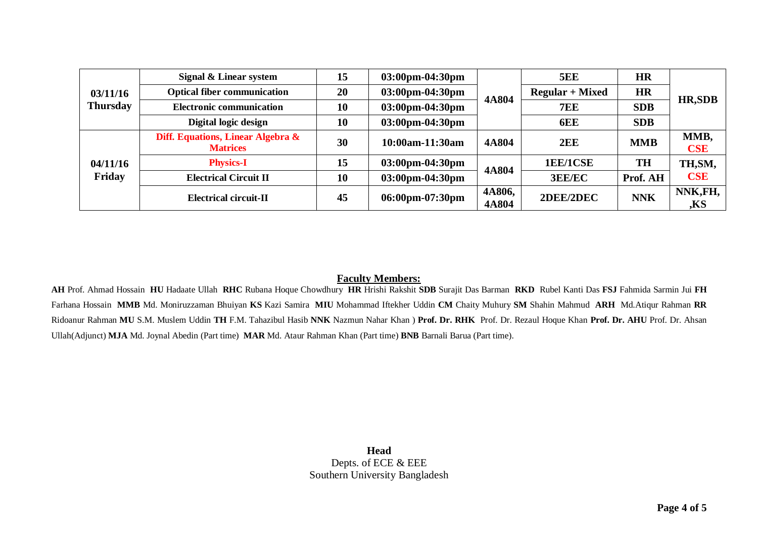| 03/11/16<br><b>Thursday</b> | Signal & Linear system                               | 15 | $03:00 \text{pm} - 04:30 \text{pm}$ | 4A804           | <b>5EE</b>             | <b>HR</b>  | <b>HR,SDB</b>      |
|-----------------------------|------------------------------------------------------|----|-------------------------------------|-----------------|------------------------|------------|--------------------|
|                             | <b>Optical fiber communication</b>                   | 20 | 03:00pm-04:30pm                     |                 | <b>Regular + Mixed</b> | <b>HR</b>  |                    |
|                             | <b>Electronic communication</b>                      | 10 | 03:00pm-04:30pm                     |                 | <b>7EE</b>             | <b>SDB</b> |                    |
|                             | Digital logic design                                 | 10 | $03:00 \text{pm} - 04:30 \text{pm}$ |                 | 6EE                    | <b>SDB</b> |                    |
| 04/11/16<br>Friday          | Diff. Equations, Linear Algebra &<br><b>Matrices</b> | 30 | 10:00am-11:30am                     | 4A804           | 2EE                    | <b>MMB</b> | MMB,<br><b>CSE</b> |
|                             | <b>Physics-I</b>                                     | 15 | $03:00 \text{pm} -04:30 \text{pm}$  | 4A804           | 1EE/1CSE               | <b>TH</b>  | TH, SM,            |
|                             | <b>Electrical Circuit II</b>                         | 10 | 03:00pm-04:30pm                     |                 | <b>3EE/EC</b>          | Prof. AH   | <b>CSE</b>         |
|                             | <b>Electrical circuit-II</b>                         | 45 | 06:00pm-07:30pm                     | 4A806,<br>4A804 | 2DEE/2DEC              | <b>NNK</b> | NNK,FH,<br>,KS     |

## **Faculty Members:**

**AH** Prof. Ahmad Hossain **HU** Hadaate Ullah **RHC** Rubana Hoque Chowdhury **HR** Hrishi Rakshit **SDB** Surajit Das Barman **RKD** Rubel Kanti Das **FSJ** Fahmida Sarmin Jui **FH** Farhana Hossain **MMB** Md. Moniruzzaman Bhuiyan **KS** Kazi Samira **MIU** Mohammad Iftekher Uddin **CM** Chaity Muhury **SM** Shahin Mahmud **ARH** Md.Atiqur Rahman **RR** Ridoanur Rahman **MU** S.M. Muslem Uddin **TH** F.M. Tahazibul Hasib **NNK** Nazmun Nahar Khan ) **Prof. Dr. RHK** Prof. Dr. Rezaul Hoque Khan **Prof. Dr. AHU** Prof. Dr. Ahsan Ullah(Adjunct) **MJA** Md. Joynal Abedin (Part time) **MAR** Md. Ataur Rahman Khan (Part time) **BNB** Barnali Barua (Part time).

> **Head** Depts. of ECE & EEE Southern University Bangladesh